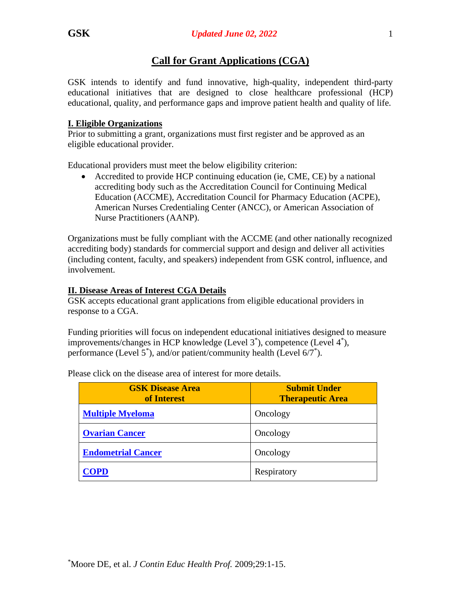# **Call for Grant Applications (CGA)**

GSK intends to identify and fund innovative, high-quality, independent third-party educational initiatives that are designed to close healthcare professional (HCP) educational, quality, and performance gaps and improve patient health and quality of life.

## **I. Eligible Organizations**

Prior to submitting a grant, organizations must first register and be approved as an eligible educational provider.

Educational providers must meet the below eligibility criterion:

• Accredited to provide HCP continuing education (ie, CME, CE) by a national accrediting body such as the Accreditation Council for Continuing Medical Education (ACCME), Accreditation Council for Pharmacy Education (ACPE), American Nurses Credentialing Center (ANCC), or American Association of Nurse Practitioners (AANP).

Organizations must be fully compliant with the ACCME (and other nationally recognized accrediting body) standards for commercial support and design and deliver all activities (including content, faculty, and speakers) independent from GSK control, influence, and involvement.

## **II. Disease Areas of Interest CGA Details**

GSK accepts educational grant applications from eligible educational providers in response to a CGA.

Funding priorities will focus on independent educational initiatives designed to measure improvements/changes in HCP knowledge (Level 3<sup>\*</sup>), competence (Level 4<sup>\*</sup>), performance (Level 5\* ), and/or patient/community health (Level 6/7\* ).

| <b>GSK Disease Area</b><br>of Interest | <b>Submit Under</b><br><b>Therapeutic Area</b> |
|----------------------------------------|------------------------------------------------|
| <b>Multiple Myeloma</b>                | Oncology                                       |
| <b>Ovarian Cancer</b>                  | Oncology                                       |
| <b>Endometrial Cancer</b>              | Oncology                                       |
| <b>COPD</b>                            | Respiratory                                    |

Please click on the disease area of interest for more details.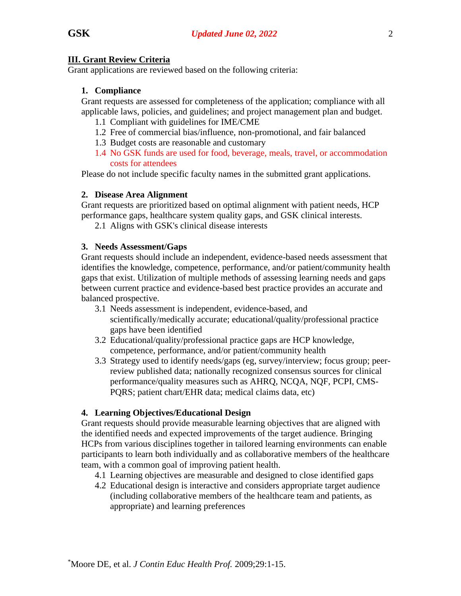### <span id="page-1-0"></span>**III. Grant Review Criteria**

Grant applications are reviewed based on the following criteria:

#### **1. Compliance**

Grant requests are assessed for completeness of the application; compliance with all applicable laws, policies, and guidelines; and project management plan and budget.

- 1.1 Compliant with guidelines for IME/CME
- 1.2 Free of commercial bias/influence, non-promotional, and fair balanced
- 1.3 Budget costs are reasonable and customary
- 1.4 No GSK funds are used for food, beverage, meals, travel, or accommodation costs for attendees

Please do not include specific faculty names in the submitted grant applications.

#### **2. Disease Area Alignment**

Grant requests are prioritized based on optimal alignment with patient needs, HCP performance gaps, healthcare system quality gaps, and GSK clinical interests.

2.1 Aligns with GSK's clinical disease interests

#### **3. Needs Assessment/Gaps**

Grant requests should include an independent, evidence-based needs assessment that identifies the knowledge, competence, performance, and/or patient/community health gaps that exist. Utilization of multiple methods of assessing learning needs and gaps between current practice and evidence-based best practice provides an accurate and balanced prospective.

- 3.1 Needs assessment is independent, evidence-based, and scientifically/medically accurate; educational/quality/professional practice gaps have been identified
- 3.2 Educational/quality/professional practice gaps are HCP knowledge, competence, performance, and/or patient/community health
- 3.3 Strategy used to identify needs/gaps (eg, survey/interview; focus group; peerreview published data; nationally recognized consensus sources for clinical performance/quality measures such as AHRQ, NCQA, NQF, PCPI, CMS-PQRS; patient chart/EHR data; medical claims data, etc)

#### **4. Learning Objectives/Educational Design**

Grant requests should provide measurable learning objectives that are aligned with the identified needs and expected improvements of the target audience. Bringing HCPs from various disciplines together in tailored learning environments can enable participants to learn both individually and as collaborative members of the healthcare team, with a common goal of improving patient health.

- 4.1 Learning objectives are measurable and designed to close identified gaps
- 4.2 Educational design is interactive and considers appropriate target audience (including collaborative members of the healthcare team and patients, as appropriate) and learning preferences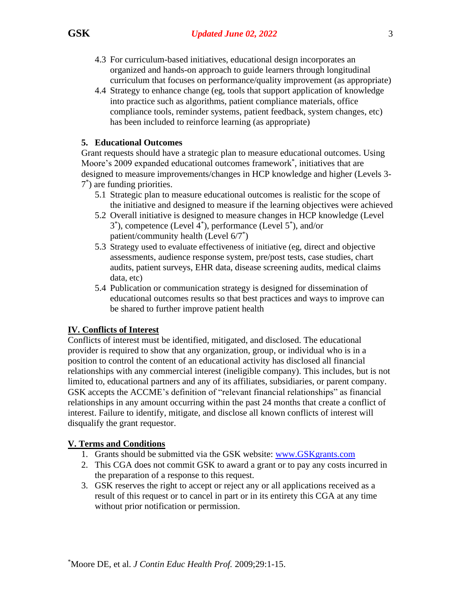- 4.3 For curriculum-based initiatives, educational design incorporates an organized and hands-on approach to guide learners through longitudinal curriculum that focuses on performance/quality improvement (as appropriate)
- 4.4 Strategy to enhance change (eg, tools that support application of knowledge into practice such as algorithms, patient compliance materials, office compliance tools, reminder systems, patient feedback, system changes, etc) has been included to reinforce learning (as appropriate)

## **5. Educational Outcomes**

Grant requests should have a strategic plan to measure educational outcomes. Using Moore's 2009 expanded educational outcomes framework\* , initiatives that are designed to measure improvements/changes in HCP knowledge and higher (Levels 3- 7 \* ) are funding priorities.

- 5.1 Strategic plan to measure educational outcomes is realistic for the scope of the initiative and designed to measure if the learning objectives were achieved
- 5.2 Overall initiative is designed to measure changes in HCP knowledge (Level 3 \* ), competence (Level 4\* ), performance (Level 5\* ), and/or patient/community health (Level 6/7\* )
- 5.3 Strategy used to evaluate effectiveness of initiative (eg, direct and objective assessments, audience response system, pre/post tests, case studies, chart audits, patient surveys, EHR data, disease screening audits, medical claims data, etc)
- 5.4 Publication or communication strategy is designed for dissemination of educational outcomes results so that best practices and ways to improve can be shared to further improve patient health

# **IV. Conflicts of Interest**

Conflicts of interest must be identified, mitigated, and disclosed. The educational provider is required to show that any organization, group, or individual who is in a position to control the content of an educational activity has disclosed all financial relationships with any commercial interest (ineligible company). This includes, but is not limited to, educational partners and any of its affiliates, subsidiaries, or parent company. GSK accepts the ACCME's definition of "relevant financial relationships" as financial relationships in any amount occurring within the past 24 months that create a conflict of interest. Failure to identify, mitigate, and disclose all known conflicts of interest will disqualify the grant requestor.

# **V. Terms and Conditions**

- 1. Grants should be submitted via the GSK website: [www.GSKgrants.com](http://www.gskgrants.com/)
- 2. This CGA does not commit GSK to award a grant or to pay any costs incurred in the preparation of a response to this request.
- 3. GSK reserves the right to accept or reject any or all applications received as a result of this request or to cancel in part or in its entirety this CGA at any time without prior notification or permission.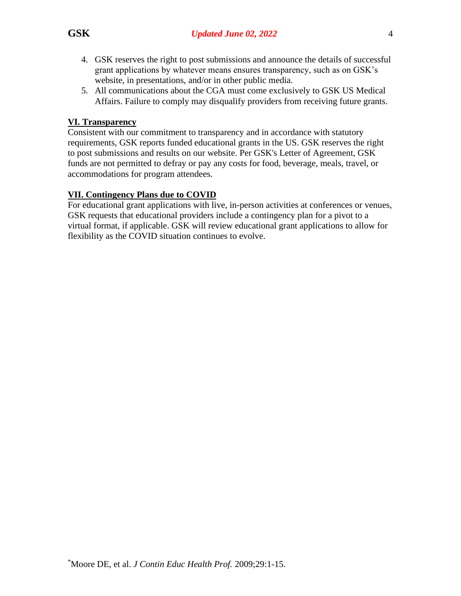- 4. GSK reserves the right to post submissions and announce the details of successful grant applications by whatever means ensures transparency, such as on GSK's website, in presentations, and/or in other public media.
- 5. All communications about the CGA must come exclusively to GSK US Medical Affairs. Failure to comply may disqualify providers from receiving future grants.

### **VI. Transparency**

Consistent with our commitment to transparency and in accordance with statutory requirements, GSK reports funded educational grants in the US. GSK reserves the right to post submissions and results on our website. Per GSK's Letter of Agreement, GSK funds are not permitted to defray or pay any costs for food, beverage, meals, travel, or accommodations for program attendees.

## **VII. Contingency Plans due to COVID**

For educational grant applications with live, in-person activities at conferences or venues, GSK requests that educational providers include a contingency plan for a pivot to a virtual format, if applicable. GSK will review educational grant applications to allow for flexibility as the COVID situation continues to evolve.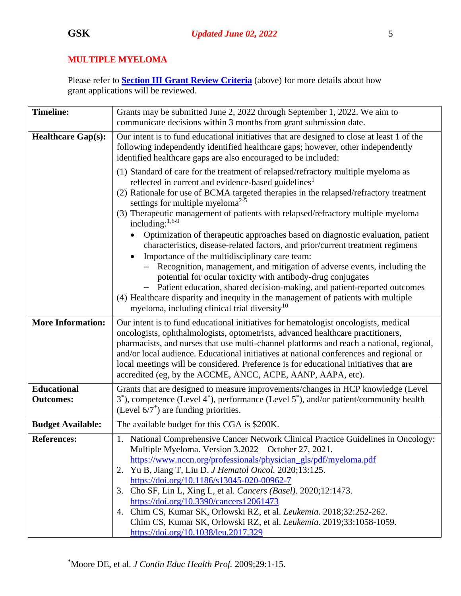## <span id="page-4-0"></span>**MULTIPLE MYELOMA**

| <b>Timeline:</b>                       | Grants may be submitted June 2, 2022 through September 1, 2022. We aim to<br>communicate decisions within 3 months from grant submission date.                                                                                                                                                                                                                                                                                                                                                                                                                                                                                                                                                                                                                                                                                                                                                                                                                                                       |
|----------------------------------------|------------------------------------------------------------------------------------------------------------------------------------------------------------------------------------------------------------------------------------------------------------------------------------------------------------------------------------------------------------------------------------------------------------------------------------------------------------------------------------------------------------------------------------------------------------------------------------------------------------------------------------------------------------------------------------------------------------------------------------------------------------------------------------------------------------------------------------------------------------------------------------------------------------------------------------------------------------------------------------------------------|
| <b>Healthcare Gap(s):</b>              | Our intent is to fund educational initiatives that are designed to close at least 1 of the<br>following independently identified healthcare gaps; however, other independently<br>identified healthcare gaps are also encouraged to be included:                                                                                                                                                                                                                                                                                                                                                                                                                                                                                                                                                                                                                                                                                                                                                     |
|                                        | (1) Standard of care for the treatment of relapsed/refractory multiple myeloma as<br>reflected in current and evidence-based guidelines <sup>1</sup><br>(2) Rationale for use of BCMA targeted therapies in the relapsed/refractory treatment<br>settings for multiple myelom $a^{2-5}$<br>(3) Therapeutic management of patients with relapsed/refractory multiple myeloma<br>including: $1,6-9$<br>Optimization of therapeutic approaches based on diagnostic evaluation, patient<br>characteristics, disease-related factors, and prior/current treatment regimens<br>Importance of the multidisciplinary care team:<br>- Recognition, management, and mitigation of adverse events, including the<br>potential for ocular toxicity with antibody-drug conjugates<br>- Patient education, shared decision-making, and patient-reported outcomes<br>(4) Healthcare disparity and inequity in the management of patients with multiple<br>myeloma, including clinical trial diversity <sup>10</sup> |
| <b>More Information:</b>               | Our intent is to fund educational initiatives for hematologist oncologists, medical<br>oncologists, ophthalmologists, optometrists, advanced healthcare practitioners,<br>pharmacists, and nurses that use multi-channel platforms and reach a national, regional,<br>and/or local audience. Educational initiatives at national conferences and regional or<br>local meetings will be considered. Preference is for educational initiatives that are<br>accredited (eg, by the ACCME, ANCC, ACPE, AANP, AAPA, etc).                                                                                                                                                                                                                                                                                                                                                                                                                                                                                 |
| <b>Educational</b><br><b>Outcomes:</b> | Grants that are designed to measure improvements/changes in HCP knowledge (Level<br>$3^*$ ), competence (Level $4^*$ ), performance (Level $5^*$ ), and/or patient/community health<br>(Level $6/7^*$ ) are funding priorities.                                                                                                                                                                                                                                                                                                                                                                                                                                                                                                                                                                                                                                                                                                                                                                      |
| <b>Budget Available:</b>               | The available budget for this CGA is \$200K.                                                                                                                                                                                                                                                                                                                                                                                                                                                                                                                                                                                                                                                                                                                                                                                                                                                                                                                                                         |
| <b>References:</b>                     | 1. National Comprehensive Cancer Network Clinical Practice Guidelines in Oncology:<br>Multiple Myeloma. Version 3.2022-October 27, 2021.<br>https://www.nccn.org/professionals/physician_gls/pdf/myeloma.pdf<br>Yu B, Jiang T, Liu D. J Hematol Oncol. 2020;13:125.<br>2.<br>https://doi.org/10.1186/s13045-020-00962-7<br>3. Cho SF, Lin L, Xing L, et al. Cancers (Basel). 2020;12:1473.<br>https://doi.org/10.3390/cancers12061473<br>Chim CS, Kumar SK, Orlowski RZ, et al. Leukemia. 2018;32:252-262.<br>4.<br>Chim CS, Kumar SK, Orlowski RZ, et al. Leukemia. 2019;33:1058-1059.<br>https://doi.org/10.1038/leu.2017.329                                                                                                                                                                                                                                                                                                                                                                      |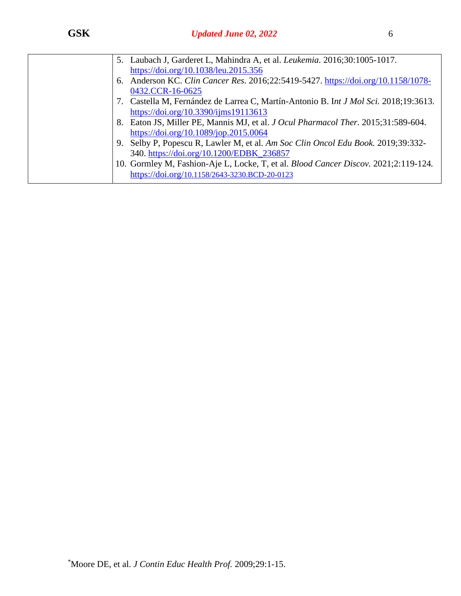| https://doi.org/10.1038/leu.2015.356<br>Anderson KC. Clin Cancer Res. 2016;22:5419-5427. https://doi.org/10.1158/1078-<br>6. |  |
|------------------------------------------------------------------------------------------------------------------------------|--|
|                                                                                                                              |  |
|                                                                                                                              |  |
| 0432.CCR-16-0625                                                                                                             |  |
| 7. Castella M, Fernández de Larrea C, Martín-Antonio B. Int J Mol Sci. 2018;19:3613.                                         |  |
| https://doi.org/10.3390/ijms19113613                                                                                         |  |
| 8. Eaton JS, Miller PE, Mannis MJ, et al. J Ocul Pharmacol Ther. 2015;31:589-604.                                            |  |
| https://doi.org/10.1089/jop.2015.0064                                                                                        |  |
| 9. Selby P, Popescu R, Lawler M, et al. Am Soc Clin Oncol Edu Book. 2019;39:332-                                             |  |
| 340. https://doi.org/10.1200/EDBK_236857                                                                                     |  |
| 10. Gormley M, Fashion-Aje L, Locke, T, et al. Blood Cancer Discov. 2021;2:119-124.                                          |  |
| https://doi.org/10.1158/2643-3230.BCD-20-0123                                                                                |  |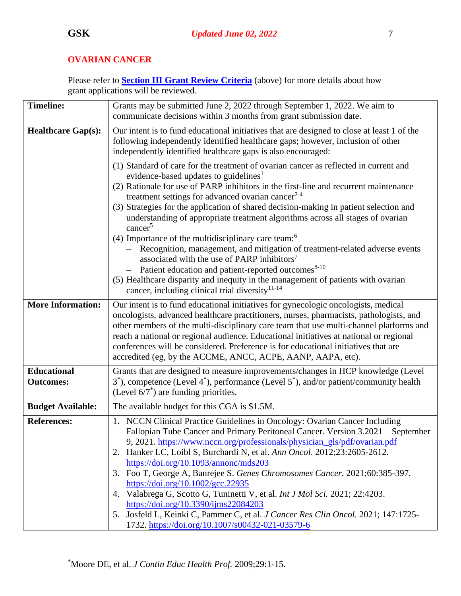# <span id="page-6-0"></span>**OVARIAN CANCER**

| <b>Timeline:</b>                       | Grants may be submitted June 2, 2022 through September 1, 2022. We aim to<br>communicate decisions within 3 months from grant submission date.                                                                                                                                                                                                                                                                                                                                                                                                                                                                                                                                                                                                   |
|----------------------------------------|--------------------------------------------------------------------------------------------------------------------------------------------------------------------------------------------------------------------------------------------------------------------------------------------------------------------------------------------------------------------------------------------------------------------------------------------------------------------------------------------------------------------------------------------------------------------------------------------------------------------------------------------------------------------------------------------------------------------------------------------------|
| <b>Healthcare Gap(s):</b>              | Our intent is to fund educational initiatives that are designed to close at least 1 of the<br>following independently identified healthcare gaps; however, inclusion of other<br>independently identified healthcare gaps is also encouraged:                                                                                                                                                                                                                                                                                                                                                                                                                                                                                                    |
|                                        | (1) Standard of care for the treatment of ovarian cancer as reflected in current and<br>evidence-based updates to guidelines <sup>1</sup><br>(2) Rationale for use of PARP inhibitors in the first-line and recurrent maintenance                                                                                                                                                                                                                                                                                                                                                                                                                                                                                                                |
|                                        | treatment settings for advanced ovarian cancer <sup>2-4</sup><br>(3) Strategies for the application of shared decision-making in patient selection and<br>understanding of appropriate treatment algorithms across all stages of ovarian<br>cancer <sup>5</sup>                                                                                                                                                                                                                                                                                                                                                                                                                                                                                  |
|                                        | (4) Importance of the multidisciplinary care team: $6$<br>- Recognition, management, and mitigation of treatment-related adverse events<br>associated with the use of PARP inhibitors <sup>7</sup><br>Patient education and patient-reported outcomes <sup>8-10</sup><br>(5) Healthcare disparity and inequity in the management of patients with ovarian<br>cancer, including clinical trial diversity <sup>11-14</sup>                                                                                                                                                                                                                                                                                                                         |
| <b>More Information:</b>               | Our intent is to fund educational initiatives for gynecologic oncologists, medical<br>oncologists, advanced healthcare practitioners, nurses, pharmacists, pathologists, and<br>other members of the multi-disciplinary care team that use multi-channel platforms and<br>reach a national or regional audience. Educational initiatives at national or regional<br>conferences will be considered. Preference is for educational initiatives that are<br>accredited (eg, by the ACCME, ANCC, ACPE, AANP, AAPA, etc).                                                                                                                                                                                                                            |
| <b>Educational</b><br><b>Outcomes:</b> | Grants that are designed to measure improvements/changes in HCP knowledge (Level<br>$3^*$ ), competence (Level $4^*$ ), performance (Level $5^*$ ), and/or patient/community health<br>(Level $6/7^*$ ) are funding priorities.                                                                                                                                                                                                                                                                                                                                                                                                                                                                                                                  |
| <b>Budget Available:</b>               | The available budget for this CGA is \$1.5M.                                                                                                                                                                                                                                                                                                                                                                                                                                                                                                                                                                                                                                                                                                     |
| <b>References:</b>                     | 1. NCCN Clinical Practice Guidelines in Oncology: Ovarian Cancer Including<br>Fallopian Tube Cancer and Primary Peritoneal Cancer. Version 3.2021—September<br>9, 2021. https://www.nccn.org/professionals/physician_gls/pdf/ovarian.pdf<br>2. Hanker LC, Loibl S, Burchardi N, et al. Ann Oncol. 2012;23:2605-2612.<br>https://doi.org/10.1093/annonc/mds203<br>3. Foo T, George A, Banrejee S. Genes Chromosomes Cancer. 2021;60:385-397.<br>https://doi.org/10.1002/gcc.22935<br>4. Valabrega G, Scotto G, Tuninetti V, et al. Int J Mol Sci. 2021; 22:4203.<br>https://doi.org/10.3390/ijms22084203<br>5. Josfeld L, Keinki C, Pammer C, et al. J Cancer Res Clin Oncol. 2021; 147:1725-<br>1732. https://doi.org/10.1007/s00432-021-03579-6 |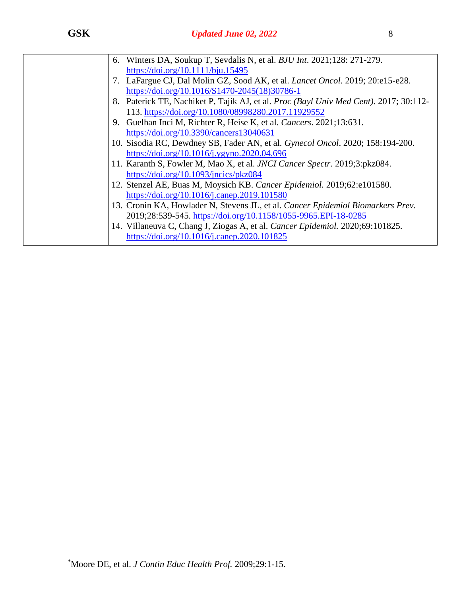| 6. Winters DA, Soukup T, Sevdalis N, et al. <i>BJU Int.</i> 2021;128: 271-279.        |
|---------------------------------------------------------------------------------------|
| https://doi.org/10.1111/bju.15495                                                     |
| 7. LaFargue CJ, Dal Molin GZ, Sood AK, et al. <i>Lancet Oncol</i> . 2019; 20:e15-e28. |
| https://doi.org/10.1016/S1470-2045(18)30786-1                                         |
| 8. Paterick TE, Nachiket P, Tajik AJ, et al. Proc (Bayl Univ Med Cent). 2017; 30:112- |
| 113. https://doi.org/10.1080/08998280.2017.11929552                                   |
| 9. Guelhan Inci M, Richter R, Heise K, et al. Cancers. 2021;13:631.                   |
| https://doi.org/10.3390/cancers13040631                                               |
| 10. Sisodia RC, Dewdney SB, Fader AN, et al. Gynecol Oncol. 2020; 158:194-200.        |
| https://doi.org/10.1016/j.ygyno.2020.04.696                                           |
| 11. Karanth S, Fowler M, Mao X, et al. JNCI Cancer Spectr. 2019;3:pkz084.             |
| https://doi.org/10.1093/jncics/pkz084                                                 |
| 12. Stenzel AE, Buas M, Moysich KB. Cancer Epidemiol. 2019;62:e101580.                |
| https://doi.org/10.1016/j.canep.2019.101580                                           |
| 13. Cronin KA, Howlader N, Stevens JL, et al. Cancer Epidemiol Biomarkers Prev.       |
| 2019;28:539-545. https://doi.org/10.1158/1055-9965.EPI-18-0285                        |
| 14. Villaneuva C, Chang J, Ziogas A, et al. Cancer Epidemiol. 2020;69:101825.         |
| https://doi.org/10.1016/j.canep.2020.101825                                           |
|                                                                                       |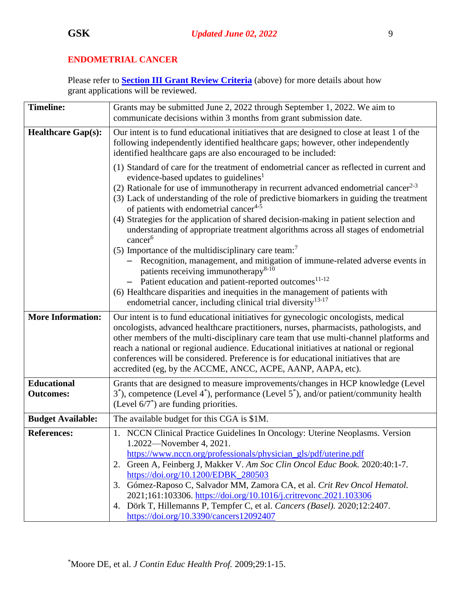# <span id="page-8-0"></span>**ENDOMETRIAL CANCER**

| <b>Timeline:</b>                       | Grants may be submitted June 2, 2022 through September 1, 2022. We aim to                                                                                                                                                                                                                                                                                                                                                                                                                                                                                                                                                                                                                                                                                                                                                                                                                                                                                                                                                                     |
|----------------------------------------|-----------------------------------------------------------------------------------------------------------------------------------------------------------------------------------------------------------------------------------------------------------------------------------------------------------------------------------------------------------------------------------------------------------------------------------------------------------------------------------------------------------------------------------------------------------------------------------------------------------------------------------------------------------------------------------------------------------------------------------------------------------------------------------------------------------------------------------------------------------------------------------------------------------------------------------------------------------------------------------------------------------------------------------------------|
|                                        | communicate decisions within 3 months from grant submission date.                                                                                                                                                                                                                                                                                                                                                                                                                                                                                                                                                                                                                                                                                                                                                                                                                                                                                                                                                                             |
| <b>Healthcare Gap(s):</b>              | Our intent is to fund educational initiatives that are designed to close at least 1 of the<br>following independently identified healthcare gaps; however, other independently<br>identified healthcare gaps are also encouraged to be included:                                                                                                                                                                                                                                                                                                                                                                                                                                                                                                                                                                                                                                                                                                                                                                                              |
|                                        | (1) Standard of care for the treatment of endometrial cancer as reflected in current and<br>evidence-based updates to guidelines <sup>1</sup><br>(2) Rationale for use of immunotherapy in recurrent advanced endometrial cancer <sup>2-3</sup><br>(3) Lack of understanding of the role of predictive biomarkers in guiding the treatment<br>of patients with endometrial cancer <sup>4-5</sup><br>(4) Strategies for the application of shared decision-making in patient selection and<br>understanding of appropriate treatment algorithms across all stages of endometrial<br>cancer <sup>6</sup><br>(5) Importance of the multidisciplinary care team: <sup>7</sup><br>- Recognition, management, and mitigation of immune-related adverse events in<br>patients receiving immunotherapy <sup>8-10</sup><br>Patient education and patient-reported outcomes <sup>11-12</sup><br>(6) Healthcare disparities and inequities in the management of patients with<br>endometrial cancer, including clinical trial diversity <sup>13-17</sup> |
| <b>More Information:</b>               | Our intent is to fund educational initiatives for gynecologic oncologists, medical<br>oncologists, advanced healthcare practitioners, nurses, pharmacists, pathologists, and<br>other members of the multi-disciplinary care team that use multi-channel platforms and<br>reach a national or regional audience. Educational initiatives at national or regional<br>conferences will be considered. Preference is for educational initiatives that are<br>accredited (eg, by the ACCME, ANCC, ACPE, AANP, AAPA, etc).                                                                                                                                                                                                                                                                                                                                                                                                                                                                                                                         |
| <b>Educational</b><br><b>Outcomes:</b> | Grants that are designed to measure improvements/changes in HCP knowledge (Level<br>$3^*$ ), competence (Level $4^*$ ), performance (Level $5^*$ ), and/or patient/community health<br>(Level $6/7^*$ ) are funding priorities.                                                                                                                                                                                                                                                                                                                                                                                                                                                                                                                                                                                                                                                                                                                                                                                                               |
| <b>Budget Available:</b>               | The available budget for this CGA is \$1M.                                                                                                                                                                                                                                                                                                                                                                                                                                                                                                                                                                                                                                                                                                                                                                                                                                                                                                                                                                                                    |
| <b>References:</b>                     | 1. NCCN Clinical Practice Guidelines In Oncology: Uterine Neoplasms. Version<br>1.2022—November 4, 2021.<br>https://www.nccn.org/professionals/physician_gls/pdf/uterine.pdf<br>2. Green A, Feinberg J, Makker V. Am Soc Clin Oncol Educ Book. 2020:40:1-7.<br>https://doi.org/10.1200/EDBK_280503<br>3. Gómez-Raposo C, Salvador MM, Zamora CA, et al. Crit Rev Oncol Hematol.<br>2021;161:103306.https://doi.org/10.1016/j.critrevonc.2021.103306<br>Dörk T, Hillemanns P, Tempfer C, et al. Cancers (Basel). 2020;12:2407.<br>4.<br>https://doi.org/10.3390/cancers12092407                                                                                                                                                                                                                                                                                                                                                                                                                                                                |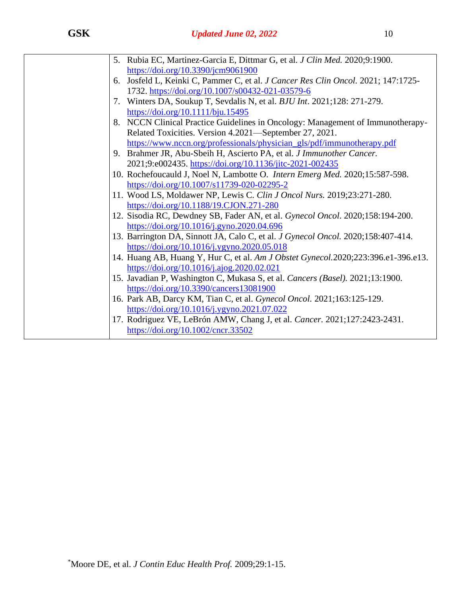| 5. Rubia EC, Martinez-Garcia E, Dittmar G, et al. J Clin Med. 2020;9:1900.        |
|-----------------------------------------------------------------------------------|
| https://doi.org/10.3390/jcm9061900                                                |
| 6. Josfeld L, Keinki C, Pammer C, et al. J Cancer Res Clin Oncol. 2021; 147:1725- |
| 1732. https://doi.org/10.1007/s00432-021-03579-6                                  |
| 7. Winters DA, Soukup T, Sevdalis N, et al. <i>BJU Int.</i> 2021;128: 271-279.    |
| https://doi.org/10.1111/bju.15495                                                 |
| 8. NCCN Clinical Practice Guidelines in Oncology: Management of Immunotherapy-    |
| Related Toxicities. Version 4.2021—September 27, 2021.                            |
| https://www.nccn.org/professionals/physician_gls/pdf/immunotherapy.pdf            |
| 9. Brahmer JR, Abu-Sbeih H, Ascierto PA, et al. J Immunother Cancer.              |
| 2021;9:e002435.https://doi.org/10.1136/jitc-2021-002435                           |
| 10. Rochefoucauld J, Noel N, Lambotte O. Intern Emerg Med. 2020;15:587-598.       |
| https://doi.org/10.1007/s11739-020-02295-2                                        |
| 11. Wood LS, Moldawer NP, Lewis C. Clin J Oncol Nurs. 2019;23:271-280.            |
| https://doi.org/10.1188/19.CJON.271-280                                           |
| 12. Sisodia RC, Dewdney SB, Fader AN, et al. Gynecol Oncol. 2020;158:194-200.     |
| https://doi.org/10.1016/j.gyno.2020.04.696                                        |
| 13. Barrington DA, Sinnott JA, Calo C, et al. J Gynecol Oncol. 2020;158:407-414.  |
| https://doi.org/10.1016/j.ygyno.2020.05.018                                       |
| 14. Huang AB, Huang Y, Hur C, et al. Am J Obstet Gynecol.2020;223:396.e1-396.e13. |
| https://doi.org/10.1016/j.ajog.2020.02.021                                        |
| 15. Javadian P, Washington C, Mukasa S, et al. Cancers (Basel). 2021;13:1900.     |
| https://doi.org/10.3390/cancers13081900                                           |
| 16. Park AB, Darcy KM, Tian C, et al. Gynecol Oncol. 2021;163:125-129.            |
| https://doi.org/10.1016/j.ygyno.2021.07.022                                       |
| 17. Rodriguez VE, LeBrón AMW, Chang J, et al. Cancer. 2021;127:2423-2431.         |
| https://doi.org/10.1002/cncr.33502                                                |
|                                                                                   |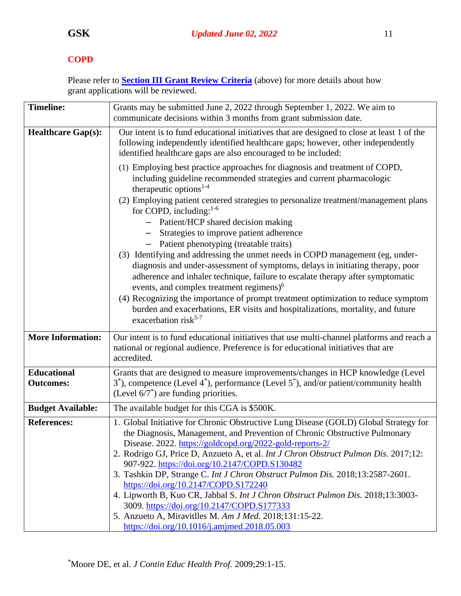# <span id="page-10-0"></span>**COPD**

| <b>Timeline:</b>                       | Grants may be submitted June 2, 2022 through September 1, 2022. We aim to                                                                                                                                                                                                                                                                                                                                                                                                                                                                                                                                                                                                                                                                                                                                                                                                                                                                                          |
|----------------------------------------|--------------------------------------------------------------------------------------------------------------------------------------------------------------------------------------------------------------------------------------------------------------------------------------------------------------------------------------------------------------------------------------------------------------------------------------------------------------------------------------------------------------------------------------------------------------------------------------------------------------------------------------------------------------------------------------------------------------------------------------------------------------------------------------------------------------------------------------------------------------------------------------------------------------------------------------------------------------------|
|                                        | communicate decisions within 3 months from grant submission date.                                                                                                                                                                                                                                                                                                                                                                                                                                                                                                                                                                                                                                                                                                                                                                                                                                                                                                  |
| <b>Healthcare Gap(s):</b>              | Our intent is to fund educational initiatives that are designed to close at least 1 of the<br>following independently identified healthcare gaps; however, other independently<br>identified healthcare gaps are also encouraged to be included:                                                                                                                                                                                                                                                                                                                                                                                                                                                                                                                                                                                                                                                                                                                   |
|                                        | (1) Employing best practice approaches for diagnosis and treatment of COPD,<br>including guideline recommended strategies and current pharmacologic<br>therapeutic options <sup>1-4</sup><br>(2) Employing patient centered strategies to personalize treatment/management plans<br>for COPD, including: $1-6$<br>Patient/HCP shared decision making<br>Strategies to improve patient adherence<br>Patient phenotyping (treatable traits)<br>(3) Identifying and addressing the unmet needs in COPD management (eg, under-<br>diagnosis and under-assessment of symptoms, delays in initiating therapy, poor<br>adherence and inhaler technique, failure to escalate therapy after symptomatic<br>events, and complex treatment regimens) <sup>6</sup><br>(4) Recognizing the importance of prompt treatment optimization to reduce symptom<br>burden and exacerbations, ER visits and hospitalizations, mortality, and future<br>exacerbation risk <sup>5-7</sup> |
| <b>More Information:</b>               | Our intent is to fund educational initiatives that use multi-channel platforms and reach a<br>national or regional audience. Preference is for educational initiatives that are                                                                                                                                                                                                                                                                                                                                                                                                                                                                                                                                                                                                                                                                                                                                                                                    |
|                                        | accredited.                                                                                                                                                                                                                                                                                                                                                                                                                                                                                                                                                                                                                                                                                                                                                                                                                                                                                                                                                        |
| <b>Educational</b><br><b>Outcomes:</b> | Grants that are designed to measure improvements/changes in HCP knowledge (Level<br>$3^*$ ), competence (Level $4^*$ ), performance (Level $5^*$ ), and/or patient/community health<br>(Level $6/7^*$ ) are funding priorities.                                                                                                                                                                                                                                                                                                                                                                                                                                                                                                                                                                                                                                                                                                                                    |
| <b>Budget Available:</b>               | The available budget for this CGA is \$500K.                                                                                                                                                                                                                                                                                                                                                                                                                                                                                                                                                                                                                                                                                                                                                                                                                                                                                                                       |
| <b>References:</b>                     | 1. Global Initiative for Chronic Obstructive Lung Disease (GOLD) Global Strategy for<br>the Diagnosis, Management, and Prevention of Chronic Obstructive Pulmonary<br>Disease. 2022. https://goldcopd.org/2022-gold-reports-2/<br>2. Rodrigo GJ, Price D, Anzueto A, et al. Int J Chron Obstruct Pulmon Dis. 2017;12:<br>907-922. https://doi.org/10.2147/COPD.S130482<br>3. Tashkin DP, Strange C. Int J Chron Obstruct Pulmon Dis. 2018;13:2587-2601.<br>https://doi.org/10.2147/COPD.S172240<br>4. Lipworth B, Kuo CR, Jabbal S. Int J Chron Obstruct Pulmon Dis. 2018;13:3003-<br>3009. https://doi.org/10.2147/COPD.S177333<br>5. Anzueto A, Miravitlles M. Am J Med. 2018;131:15-22.<br>https://doi.org/10.1016/j.amjmed.2018.05.003                                                                                                                                                                                                                         |